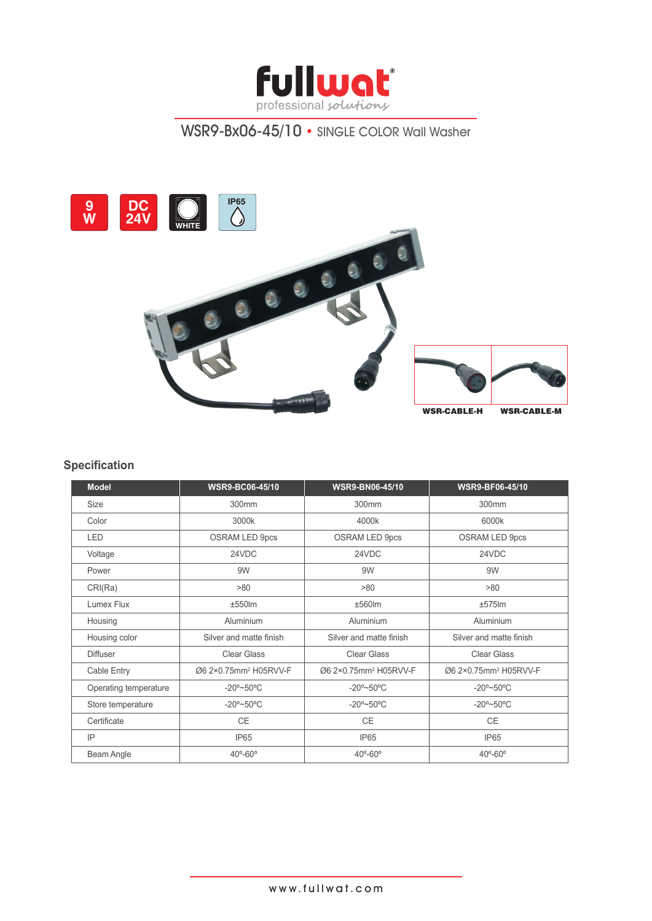

# WSR9-Bx06-45/10 • SINGLE COLOR Wall Washer



### **Specification**

| <b>Model</b>          | <b>WSR9-BC06-45/10</b>            | <b>WSR9-BN06-45/10</b>            | <b>WSR9-BF06-45/10</b>            |
|-----------------------|-----------------------------------|-----------------------------------|-----------------------------------|
| Size                  | 300mm                             | 300mm                             | 300mm                             |
| Color                 | 3000k                             | 4000k                             | 6000k                             |
| <b>LED</b>            | <b>OSRAM LED 9pcs</b>             | <b>OSRAM LED 9pcs</b>             | <b>OSRAM LED 9pcs</b>             |
| Voltage               | 24VDC                             | 24VDC                             | 24VDC                             |
| Power                 | 9W                                | 9W                                | 9W                                |
| CRI(Ra)               | >80                               | >80                               | >80                               |
| Lumex Flux            | $±550$ m                          | ±560lm                            | $±575$ lm                         |
| Housing               | Aluminium                         | <b>Aluminium</b>                  | Aluminium                         |
| Housing color         | Silver and matte finish           | Silver and matte finish           | Silver and matte finish           |
| <b>Diffuser</b>       | Clear Glass                       | Clear Glass                       | Clear Glass                       |
| Cable Entry           | Ø6 2×0.75mm <sup>2</sup> H05RVV-F | Ø6 2×0.75mm <sup>2</sup> H05RVV-F | Ø6 2×0.75mm <sup>2</sup> H05RVV-F |
| Operating temperature | $-20^{\circ}$ ~50°C               | $-20^{\circ}$ ~50 $^{\circ}$ C    | $-20^{\circ}$ ~50°C               |
| Store temperature     | $-20^{\circ}$ ~50°C               | $-20^{\circ}$ ~50 $^{\circ}$ C    | $-20^{\circ}$ ~50°C               |
| Certificate           | CE                                | CE                                | CE                                |
| IP                    | IP <sub>65</sub>                  | IP <sub>65</sub>                  | IP <sub>65</sub>                  |
| Beam Angle            | $40^{\circ} - 60^{\circ}$         | $40^{\circ} - 60^{\circ}$         | $40^{\circ} - 60^{\circ}$         |